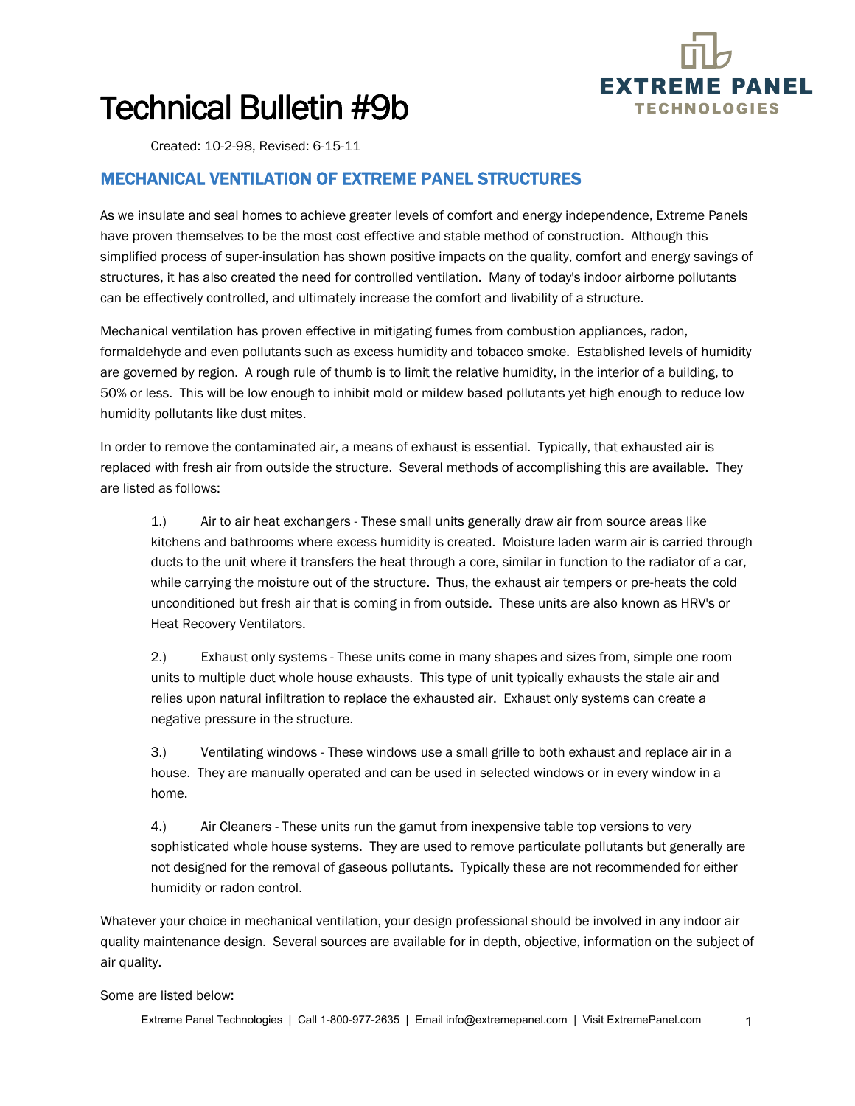

## Technical Bulletin #9b

Created: 10-2-98, Revised: 6-15-11

## MECHANICAL VENTILATION OF EXTREME PANEL STRUCTURES

As we insulate and seal homes to achieve greater levels of comfort and energy independence, Extreme Panels have proven themselves to be the most cost effective and stable method of construction. Although this simplified process of super-insulation has shown positive impacts on the quality, comfort and energy savings of structures, it has also created the need for controlled ventilation. Many of today's indoor airborne pollutants can be effectively controlled, and ultimately increase the comfort and livability of a structure.

Mechanical ventilation has proven effective in mitigating fumes from combustion appliances, radon, formaldehyde and even pollutants such as excess humidity and tobacco smoke. Established levels of humidity are governed by region. A rough rule of thumb is to limit the relative humidity, in the interior of a building, to 50% or less. This will be low enough to inhibit mold or mildew based pollutants yet high enough to reduce low humidity pollutants like dust mites.

In order to remove the contaminated air, a means of exhaust is essential. Typically, that exhausted air is replaced with fresh air from outside the structure. Several methods of accomplishing this are available. They are listed as follows:

1.) Air to air heat exchangers - These small units generally draw air from source areas like kitchens and bathrooms where excess humidity is created. Moisture laden warm air is carried through ducts to the unit where it transfers the heat through a core, similar in function to the radiator of a car, while carrying the moisture out of the structure. Thus, the exhaust air tempers or pre-heats the cold unconditioned but fresh air that is coming in from outside. These units are also known as HRV's or Heat Recovery Ventilators.

2.) Exhaust only systems - These units come in many shapes and sizes from, simple one room units to multiple duct whole house exhausts. This type of unit typically exhausts the stale air and relies upon natural infiltration to replace the exhausted air. Exhaust only systems can create a negative pressure in the structure.

3.) Ventilating windows - These windows use a small grille to both exhaust and replace air in a house. They are manually operated and can be used in selected windows or in every window in a home.

4.) Air Cleaners - These units run the gamut from inexpensive table top versions to very sophisticated whole house systems. They are used to remove particulate pollutants but generally are not designed for the removal of gaseous pollutants. Typically these are not recommended for either humidity or radon control.

Whatever your choice in mechanical ventilation, your design professional should be involved in any indoor air quality maintenance design. Several sources are available for in depth, objective, information on the subject of air quality.

Some are listed below:

Extreme Panel Technologies | Call 1-800-977-2635 | Email info@extremepanel.com | Visit ExtremePanel.com